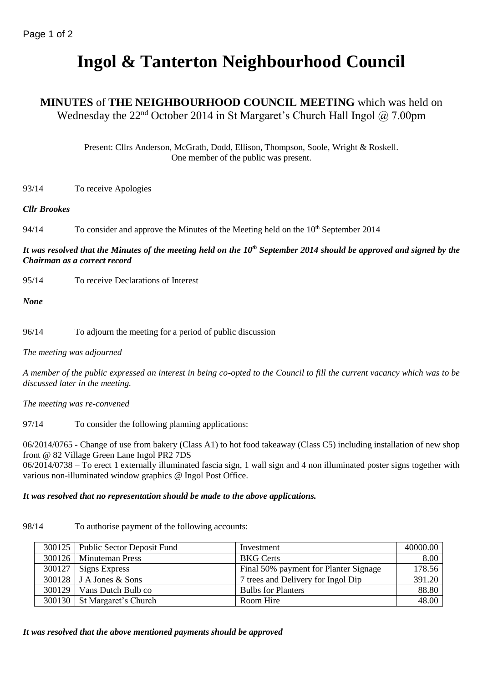# **Ingol & Tanterton Neighbourhood Council**

### **MINUTES** of **THE NEIGHBOURHOOD COUNCIL MEETING** which was held on Wednesday the  $22<sup>nd</sup>$  October 2014 in St Margaret's Church Hall Ingol @ 7.00pm

Present: Cllrs Anderson, McGrath, Dodd, Ellison, Thompson, Soole, Wright & Roskell. One member of the public was present.

93/14 To receive Apologies

### *Cllr Brookes*

94/14 To consider and approve the Minutes of the Meeting held on the  $10<sup>th</sup>$  September 2014

### *It was resolved that the Minutes of the meeting held on the 10th September 2014 should be approved and signed by the Chairman as a correct record*

95/14 To receive Declarations of Interest

*None*

96/14 To adjourn the meeting for a period of public discussion

*The meeting was adjourned*

*A member of the public expressed an interest in being co-opted to the Council to fill the current vacancy which was to be discussed later in the meeting.*

*The meeting was re-convened*

97/14 To consider the following planning applications:

06/2014/0765 - Change of use from bakery (Class A1) to hot food takeaway (Class C5) including installation of new shop front @ 82 Village Green Lane Ingol PR2 7DS

06/2014/0738 – To erect 1 externally illuminated fascia sign, 1 wall sign and 4 non illuminated poster signs together with various non-illuminated window graphics @ Ingol Post Office.

### *It was resolved that no representation should be made to the above applications.*

98/14 To authorise payment of the following accounts:

| 300125 Public Sector Deposit Fund | Investment                            | 40000.00 |
|-----------------------------------|---------------------------------------|----------|
| 300126   Minuteman Press          | <b>BKG</b> Certs                      | 8.00     |
| $300127$ Signs Express            | Final 50% payment for Planter Signage | 178.56   |
| $300128$ J A Jones & Sons         | 7 trees and Delivery for Ingol Dip    | 391.20   |
| 300129   Vans Dutch Bulb co       | <b>Bulbs for Planters</b>             | 88.80    |
| 300130   St Margaret's Church     | Room Hire                             | 48.00    |

### *It was resolved that the above mentioned payments should be approved*